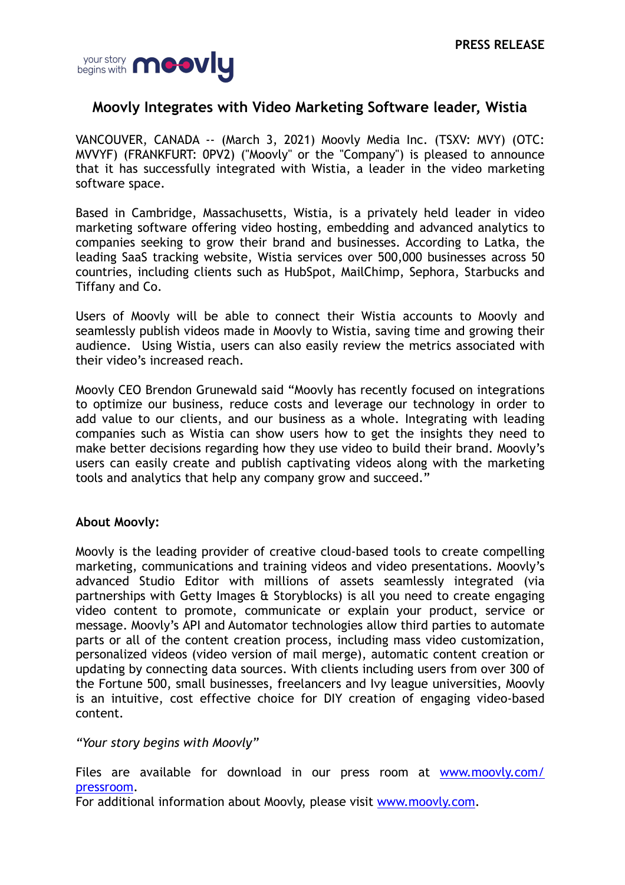

## **Moovly Integrates with Video Marketing Software leader, Wistia**

VANCOUVER, CANADA -- (March 3, 2021) Moovly Media Inc. (TSXV: MVY) (OTC: MVVYF) (FRANKFURT: 0PV2) ("Moovly" or the "Company") is pleased to announce that it has successfully integrated with Wistia, a leader in the video marketing software space.

Based in Cambridge, Massachusetts, Wistia, is a privately held leader in video marketing software offering video hosting, embedding and advanced analytics to companies seeking to grow their brand and businesses. According to Latka, the leading SaaS tracking website, Wistia services over 500,000 businesses across 50 countries, including clients such as HubSpot, MailChimp, Sephora, Starbucks and Tiffany and Co.

Users of Moovly will be able to connect their Wistia accounts to Moovly and seamlessly publish videos made in Moovly to Wistia, saving time and growing their audience. Using Wistia, users can also easily review the metrics associated with their video's increased reach.

Moovly CEO Brendon Grunewald said "Moovly has recently focused on integrations to optimize our business, reduce costs and leverage our technology in order to add value to our clients, and our business as a whole. Integrating with leading companies such as Wistia can show users how to get the insights they need to make better decisions regarding how they use video to build their brand. Moovly's users can easily create and publish captivating videos along with the marketing tools and analytics that help any company grow and succeed."

## **About Moovly:**

Moovly is the leading provider of creative cloud-based tools to create compelling marketing, communications and training videos and video presentations. Moovly's advanced Studio Editor with millions of assets seamlessly integrated (via partnerships with Getty Images & Storyblocks) is all you need to create engaging video content to promote, communicate or explain your product, service or message. Moovly's API and Automator technologies allow third parties to automate parts or all of the content creation process, including mass video customization, personalized videos (video version of mail merge), automatic content creation or updating by connecting data sources. With clients including users from over 300 of the Fortune 500, small businesses, freelancers and Ivy league universities, Moovly is an intuitive, cost effective choice for DIY creation of engaging video-based content.

*"Your story begins with Moovly"*

Files are available for download in our press room at [www.moovly.com/](http://www.moovly.com/pressroom) [pressroom](http://www.moovly.com/pressroom).

For additional information about Moovly, please visit [www.moovly.com](https://www.moovly.com/).